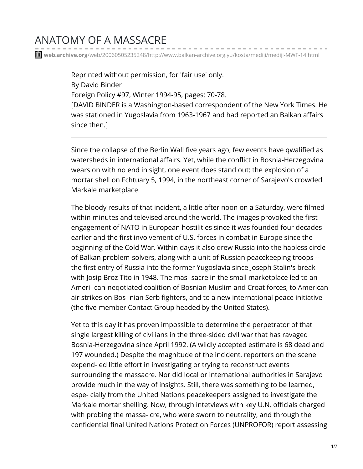## ANATOMY OF A MASSACRE

**web.archive.org**[/web/20060505235248/http://www.balkan-archive.org.yu/kosta/mediji/mediji-MWF-14.html](https://web.archive.org/web/20060505235248/http://www.balkan-archive.org.yu/kosta/mediji/mediji-MWF-14.html)

Reprinted without permission, for 'fair use' only. By David Binder Foreign Policy #97, Winter 1994-95, pages: 70-78. [DAVID BINDER is a Washington-based correspondent of the New York Times. He was stationed in Yugoslavia from 1963-1967 and had reported an Balkan affairs since then.]

Since the collapse of the Berlin Wall five years ago, few events have qwalified as watersheds in international affairs. Yet, while the conflict in Bosnia-Herzegovina wears on with no end in sight, one event does stand out: the explosion of a mortar shell on Fchtuary 5, 1994, in the northeast corner of Sarajevo's crowded Markale marketplace.

The bloody results of that incident, a little after noon on a Saturday, were filmed within minutes and televised around the world. The images provoked the first engagement of NATO in European hostilities since it was founded four decades earlier and the first involvement of U.S. forces in combat in Europe since the beginning of the Cold War. Within days it also drew Russia into the hapless circle of Balkan problem-solvers, along with a unit of Russian peacekeeping troops - the first entry of Russia into the former Yugoslavia since Joseph Stalin's break with Josip Broz Tito in 1948. The mas- sacre in the small marketplace led to an Ameri- can-neqotiated coalition of Bosnian Muslim and Croat forces, to American air strikes on Bos- nian Serb fighters, and to a new international peace initiative (the five-member Contact Group headed by the United States).

Yet to this day it has proven impossible to determine the perpetrator of that single largest killing of civilians in the three-sided civil war that has ravaged Bosnia-Herzegovina since April 1992. (A wildly accepted estimate is 68 dead and 197 wounded.) Despite the magnitude of the incident, reporters on the scene expend- ed little effort in investigating or trying to reconstruct events surrounding the massacre. Nor did local or international authorities in Sarajevo provide much in the way of insights. Still, there was something to be learned, espe- cially from the United Nations peacekeepers assigned to investigate the Markale mortar shelling. Now, through intetviews with key U.N. officials charged with probing the massa- cre, who were sworn to neutrality, and through the confidential final United Nations Protection Forces (UNPROFOR) report assessing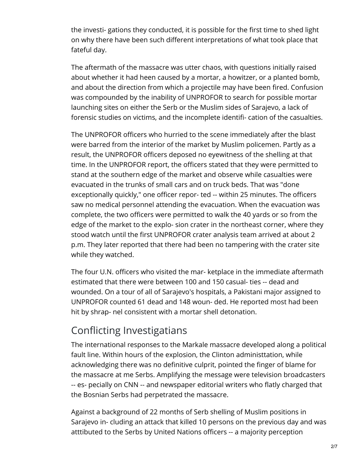the investi- gations they conducted, it is possible for the first time to shed light on why there have been such different interpretations of what took place that fateful day.

The aftermath of the massacre was utter chaos, with questions initially raised about whether it had heen caused by a mortar, a howitzer, or a planted bomb, and about the direction from which a projectile may have been fired. Confusion was compounded by the inability of UNPROFOR to search for possible mortar launching sites on either the Serb or the Muslim sides of Sarajevo, a lack of forensic studies on victims, and the incomplete identifi- cation of the casualties.

The UNPROFOR officers who hurried to the scene immediately after the blast were barred from the interior of the market by Muslim policemen. Partly as a result, the UNPROFOR officers deposed no eyewitness of the shelling at that time. In the UNPROFOR report, the officers stated that they were permitted to stand at the southern edge of the market and observe while casualties were evacuated in the trunks of small cars and on truck beds. That was "done exceptionally quickly," one officer repor- ted -- within 25 minutes. The officers saw no medical personnel attending the evacuation. When the evacuation was complete, the two officers were permitted to walk the 40 yards or so from the edge of the market to the explo- sion crater in the northeast corner, where they stood watch until the first UNPROFOR crater analysis team arrived at about 2 p.m. They later reported that there had been no tampering with the crater site while they watched.

The four U.N. officers who visited the mar- ketplace in the immediate aftermath estimated that there were between 100 and 150 casual- ties -- dead and wounded. On a tour of all of Sarajevo's hospitals, a Pakistani major assigned to UNPROFOR counted 61 dead and 148 woun- ded. He reported most had been hit by shrap- nel consistent with a mortar shell detonation.

## Conflicting Investigatians

The international responses to the Markale massacre developed along a political fault line. Within hours of the explosion, the Clinton administtation, while acknowledging there was no definitive culprit, pointed the finger of blame for the massacre at me Serbs. Amplifying the message were television broadcasters -- es- pecially on CNN -- and newspaper editorial writers who flatly charged that the Bosnian Serbs had perpetrated the massacre.

Against a background of 22 months of Serb shelling of Muslim positions in Sarajevo in- cluding an attack that killed 10 persons on the previous day and was atttibuted to the Serbs by United Nations officers -- a majority perception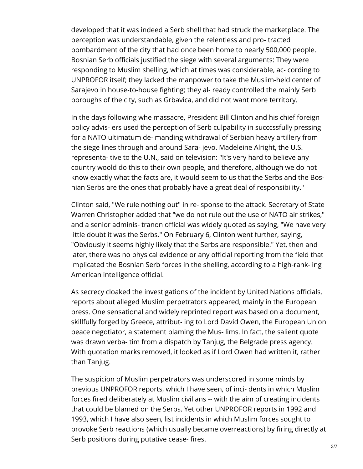developed that it was indeed a Serb shell that had struck the marketplace. The perception was understandable, given the relentless and pro- tracted bombardment of the city that had once been home to nearly 500,000 people. Bosnian Serb officials justified the siege with several arguments: They were responding to Muslim shelling, which at times was considerable, ac- cording to UNPROFOR itself; they lacked the manpower to take the Muslim-held center of Sarajevo in house-to-house fighting; they al- ready controlled the mainly Serb boroughs of the city, such as Grbavica, and did not want more territory.

In the days following whe massacre, President Bill Clinton and his chief foreign policy advis- ers used the perception of Serb culpability in succcssfully pressing for a NATO ultimatum de- manding withdrawal of Serbian heavy artillery from the siege lines through and around Sara- jevo. Madeleine Alright, the U.S. representa- tive to the U.N., said on television: "It's very hard to believe any country woold do this to their own people, and therefore, although we do not know exactly what the facts are, it would seem to us that the Serbs and the Bosnian Serbs are the ones that probably have a great deal of responsibility."

Clinton said, "We rule nothing out" in re- sponse to the attack. Secretary of State Warren Christopher added that "we do not rule out the use of NATO air strikes," and a senior adminis- tranon official was widely quoted as saying, "We have very little doubt it was the Serbs." On February 6, Clinton went further, saying, "Obviously it seems highly likely that the Serbs are responsible." Yet, then and later, there was no physical evidence or any official reporting from the field that implicated the Bosnian Serb forces in the shelling, according to a high-rank- ing American intelligence official.

As secrecy cloaked the investigations of the incident by United Nations officials, reports about alleged Muslim perpetrators appeared, mainly in the European press. One sensational and widely reprinted report was based on a document, skillfully forged by Greece, attribut- ing to Lord David Owen, the European Union peace negotiator, a statement blaming the Mus- lims. In fact, the salient quote was drawn verba- tim from a dispatch by Tanjug, the Belgrade press agency. With quotation marks removed, it looked as if Lord Owen had written it, rather than Tanjug.

The suspicion of Muslim perpetrators was underscored in some minds by previous UNPROFOR reports, which I have seen, of inci- dents in which Muslim forces fired deliberately at Muslim civilians -- with the aim of creating incidents that could be blamed on the Serbs. Yet other UNPROFOR reports in 1992 and 1993, which I have also seen, list incidents in which Muslim forces sought to provoke Serb reactions (which usually became overreactions) by firing directly at Serb positions during putative cease- fires.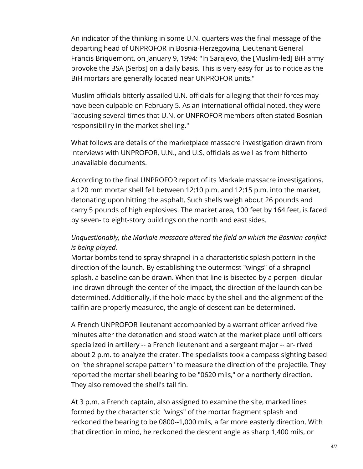An indicator of the thinking in some U.N. quarters was the final message of the departing head of UNPROFOR in Bosnia-Herzegovina, Lieutenant General Francis Briquemont, on January 9, 1994: "In Sarajevo, the [Muslim-led] BiH army provoke the BSA [Serbs] on a daily basis. This is very easy for us to notice as the BiH mortars are generally located near UNPROFOR units."

Muslim officials bitterly assailed U.N. officials for alleging that their forces may have been culpable on February 5. As an international official noted, they were "accusing several times that U.N. or UNPROFOR members often stated Bosnian responsibiliry in the market shelling."

What follows are details of the marketplace massacre investigation drawn from interviews with UNPROFOR, U.N., and U.S. officials as well as from hitherto unavailable documents.

According to the final UNPROFOR report of its Markale massacre investigations, a 120 mm mortar shell fell between 12:10 p.m. and 12:15 p.m. into the market, detonating upon hitting the asphalt. Such shells weigh about 26 pounds and carry 5 pounds of high explosives. The market area, 100 feet by 164 feet, is faced by seven- to eight-story buildings on the north and east sides.

## *Unquestionably, the Markale massacre altered the field on which the Bosnian confiict is being played.*

Mortar bombs tend to spray shrapnel in a characteristic splash pattern in the direction of the launch. By establishing the outermost "wings" of a shrapnel splash, a baseline can be drawn. When that line is bisected by a perpen- dicular line drawn dhrough the center of the impact, the direction of the launch can be determined. Additionally, if the hole made by the shell and the alignment of the tailfin are properly measured, the angle of descent can be determined.

A French UNPROFOR lieutenant accompanied by a warrant officer arrived five minutes after the detonation and stood watch at the market place until officers specialized in artillery -- a French lieutenant and a sergeant major -- ar- rived about 2 p.m. to analyze the crater. The specialists took a compass sighting based on "the shrapnel scrape pattern" to measure the direction of the projectile. They reported the mortar shell bearing to be "0620 mils," or a northerly direction. They also removed the shell's tail fin.

At 3 p.m. a French captain, also assigned to examine the site, marked lines formed by the characteristic "wings" of the mortar fragment splash and reckoned the bearing to be 0800--1,000 mils, a far more easterly direction. With that direction in mind, he reckoned the descent angle as sharp 1,400 mils, or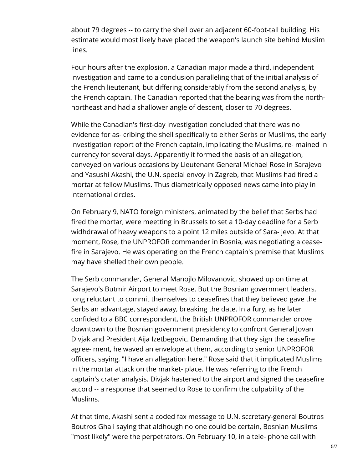about 79 degrees -- to carry the shell over an adjacent 60-foot-tall building. His estimate would most likely have placed the weapon's launch site behind Muslim lines.

Four hours after the explosion, a Canadian major made a third, independent investigation and came to a conclusion paralleling that of the initial analysis of the French lieutenant, but differing considerably from the second analysis, by the French captain. The Canadian reported that the bearing was from the northnortheast and had a shallower angle of descent, closer to 70 degrees.

While the Canadian's first-day investigation concluded that there was no evidence for as- cribing the shell specifically to either Serbs or Muslims, the early investigation report of the French captain, implicating the Muslims, re- mained in currency for several days. Apparently it formed the basis of an allegation, conveyed on various occasions by Lieutenant General Michael Rose in Sarajevo and Yasushi Akashi, the U.N. special envoy in Zagreb, that Muslims had fired a mortar at fellow Muslims. Thus diametrically opposed news came into play in international circles.

On February 9, NATO foreign ministers, animated by the belief that Serbs had fired the mortar, were meetting in Brussels to set a 10-day deadline for a Serb widhdrawal of heavy weapons to a point 12 miles outside of Sara- jevo. At that moment, Rose, the UNPROFOR commander in Bosnia, was negotiating a ceasefire in Sarajevo. He was operating on the French captain's premise that Muslims may have shelled their own people.

The Serb commander, General Manojlo Milovanovic, showed up on time at Sarajevo's Butmir Airport to meet Rose. But the Bosnian government leaders, long reluctant to commit themselves to ceasefires that they believed gave the Serbs an advantage, stayed away, breaking the date. In a fury, as he later confided to a BBC correspondent, the British UNPROFOR commander drove downtown to the Bosnian government presidency to confront General Jovan Divjak and President Aija Izetbegovic. Demanding that they sign the ceasefire agree- ment, he waved an envelope at them, according to senior UNPROFOR officers, saying, "I have an allegation here." Rose said that it implicated Muslims in the mortar attack on the market- place. He was referring to the French captain's crater analysis. Divjak hastened to the airport and signed the ceasefire accord -- a response that seemed to Rose to confirm the culpability of the Muslims.

At that time, Akashi sent a coded fax message to U.N. sccretary-general Boutros Boutros Ghali saying that aldhough no one could be certain, Bosnian Muslims "most likely" were the perpetrators. On February 10, in a tele- phone call with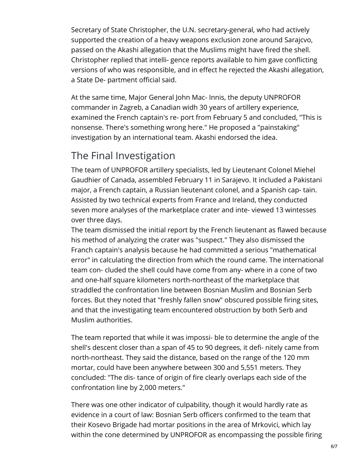Secretary of State Christopher, the U.N. secretary-general, who had actively supported the creation of a heavy weapons exclusion zone around Sarajcvo, passed on the Akashi allegation that the Muslims might have fired the shell. Christopher replied that intelli- gence reports available to him gave conflicting versions of who was responsible, and in effect he rejected the Akashi allegation, a State De- partment official said.

At the same time, Major General John Mac- Innis, the deputy UNPROFOR commander in Zagreb, a Canadian widh 30 years of artillery experience, examined the French captain's re- port from February 5 and concluded, "This is nonsense. There's something wrong here." He proposed a "painstaking" investigation by an international team. Akashi endorsed the idea.

## The Final Investigation

The team of UNPROFOR artillery specialists, led by Lieutenant Colonel Miehel Gaudhier of Canada, assembled February 11 in Sarajevo. It included a Pakistani major, a French captain, a Russian lieutenant colonel, and a Spanish cap- tain. Assisted by two technical experts from France and Ireland, they conducted seven more analyses of the marketplace crater and inte- viewed 13 wintesses over three days.

The team dismissed the initial report by the French lieutenant as flawed because his method of analyzing the crater was "suspect." They also dismissed the Franch captain's analysis because he had committed a serious "mathematical error" in calculating the direction from which the round came. The international team con- cluded the shell could have come from any- where in a cone of two and one-half square kilometers north-northeast of the marketplace that straddled the confrontation line between Bosnian Muslim and Bosnian Serb forces. But they noted that "freshly fallen snow" obscured possible firing sites, and that the investigating team encountered obstruction by both Serb and Muslim authorities.

The team reported that while it was impossi- ble to determine the angle of the shell's descent closer than a span of 45 to 90 degrees, it defi- nitely came from north-northeast. They said the distance, based on the range of the 120 mm mortar, could have been anywhere between 300 and 5,551 meters. They concluded: "The dis- tance of origin of fire clearly overlaps each side of the confrontation line by 2,000 meters."

There was one other indicator of culpability, though it would hardly rate as evidence in a court of law: Bosnian Serb officers confirmed to the team that their Kosevo Brigade had mortar positions in the area of Mrkovici, which lay within the cone determined by UNPROFOR as encompassing the possible firing